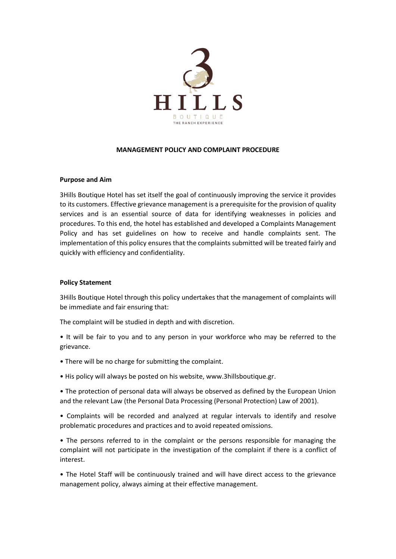

## **MANAGEMENT POLICY AND COMPLAINT PROCEDURE**

## **Purpose and Aim**

3Hills Boutique Hotel has set itself the goal of continuously improving the service it provides to its customers. Effective grievance management is a prerequisite for the provision of quality services and is an essential source of data for identifying weaknesses in policies and procedures. To this end, the hotel has established and developed a Complaints Management Policy and has set guidelines on how to receive and handle complaints sent. The implementation of this policy ensures that the complaints submitted will be treated fairly and quickly with efficiency and confidentiality.

# **Policy Statement**

3Hills Boutique Hotel through this policy undertakes that the management of complaints will be immediate and fair ensuring that:

The complaint will be studied in depth and with discretion.

- It will be fair to you and to any person in your workforce who may be referred to the grievance.
- There will be no charge for submitting the complaint.
- His policy will always be posted on his website, www.3hillsboutique.gr.

• The protection of personal data will always be observed as defined by the European Union and the relevant Law (the Personal Data Processing (Personal Protection) Law of 2001).

• Complaints will be recorded and analyzed at regular intervals to identify and resolve problematic procedures and practices and to avoid repeated omissions.

• The persons referred to in the complaint or the persons responsible for managing the complaint will not participate in the investigation of the complaint if there is a conflict of interest.

• The Hotel Staff will be continuously trained and will have direct access to the grievance management policy, always aiming at their effective management.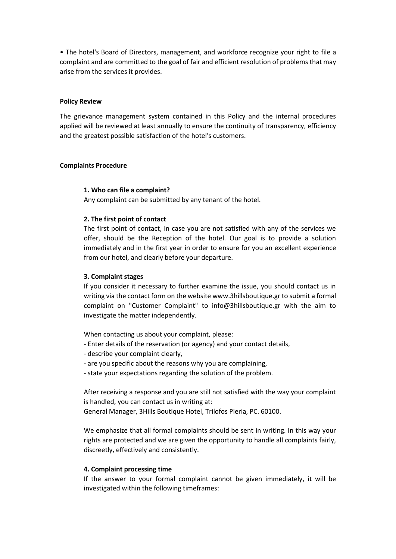• The hotel's Board of Directors, management, and workforce recognize your right to file a complaint and are committed to the goal of fair and efficient resolution of problems that may arise from the services it provides.

# **Policy Review**

The grievance management system contained in this Policy and the internal procedures applied will be reviewed at least annually to ensure the continuity of transparency, efficiency and the greatest possible satisfaction of the hotel's customers.

# **Complaints Procedure**

## **1. Who can file a complaint?**

Any complaint can be submitted by any tenant of the hotel.

## **2. The first point of contact**

The first point of contact, in case you are not satisfied with any of the services we offer, should be the Reception of the hotel. Our goal is to provide a solution immediately and in the first year in order to ensure for you an excellent experience from our hotel, and clearly before your departure.

#### **3. Complaint stages**

If you consider it necessary to further examine the issue, you should contact us in writing via the contact form on the website www.3hillsboutique.gr to submit a formal complaint on "Customer Complaint" to info@3hillsboutique.gr with the aim to investigate the matter independently.

When contacting us about your complaint, please:

- Enter details of the reservation (or agency) and your contact details,
- describe your complaint clearly,
- are you specific about the reasons why you are complaining,
- state your expectations regarding the solution of the problem.

After receiving a response and you are still not satisfied with the way your complaint is handled, you can contact us in writing at:

General Manager, 3Hills Boutique Hotel, Trilofos Pieria, PC. 60100.

We emphasize that all formal complaints should be sent in writing. In this way your rights are protected and we are given the opportunity to handle all complaints fairly, discreetly, effectively and consistently.

## **4. Complaint processing time**

If the answer to your formal complaint cannot be given immediately, it will be investigated within the following timeframes: